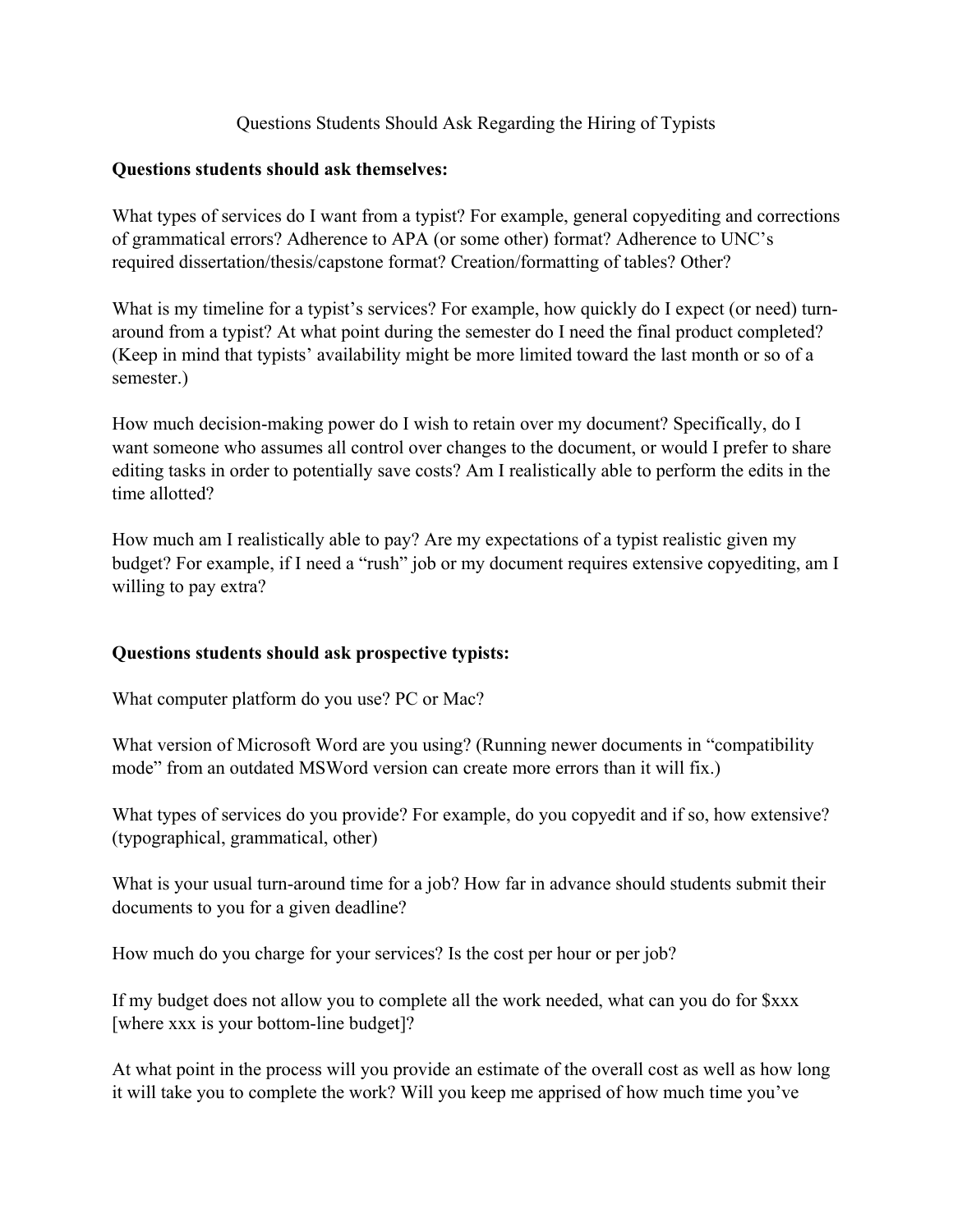## Questions Students Should Ask Regarding the Hiring of Typists

## **Questions students should ask themselves:**

What types of services do I want from a typist? For example, general copyediting and corrections of grammatical errors? Adherence to APA (or some other) format? Adherence to UNC's required dissertation/thesis/capstone format? Creation/formatting of tables? Other?

What is my timeline for a typist's services? For example, how quickly do I expect (or need) turnaround from a typist? At what point during the semester do I need the final product completed? (Keep in mind that typists' availability might be more limited toward the last month or so of a semester.)

How much decision-making power do I wish to retain over my document? Specifically, do I want someone who assumes all control over changes to the document, or would I prefer to share editing tasks in order to potentially save costs? Am I realistically able to perform the edits in the time allotted?

How much am I realistically able to pay? Are my expectations of a typist realistic given my budget? For example, if I need a "rush" job or my document requires extensive copyediting, am I willing to pay extra?

## **Questions students should ask prospective typists:**

What computer platform do you use? PC or Mac?

What version of Microsoft Word are you using? (Running newer documents in "compatibility mode" from an outdated MSWord version can create more errors than it will fix.)

What types of services do you provide? For example, do you copyedit and if so, how extensive? (typographical, grammatical, other)

What is your usual turn-around time for a job? How far in advance should students submit their documents to you for a given deadline?

How much do you charge for your services? Is the cost per hour or per job?

If my budget does not allow you to complete all the work needed, what can you do for \$xxx [where xxx is your bottom-line budget]?

At what point in the process will you provide an estimate of the overall cost as well as how long it will take you to complete the work? Will you keep me apprised of how much time you've